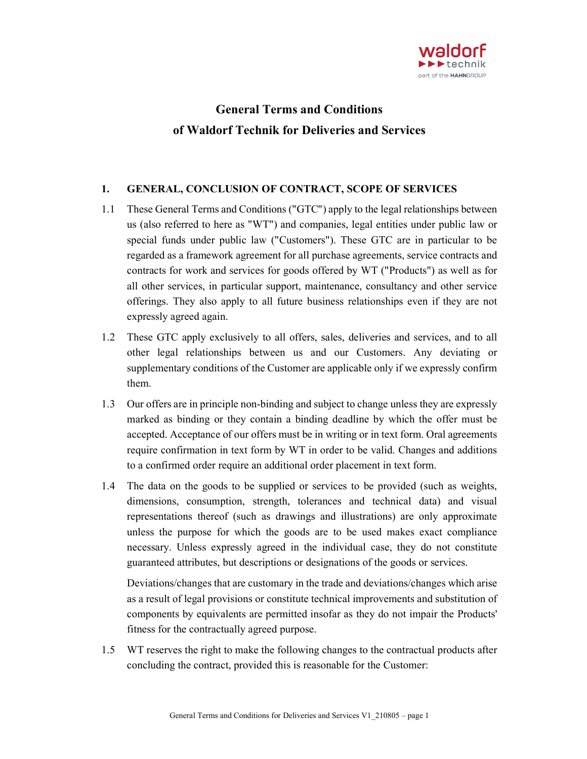

# General Terms and Conditions of Waldorf Technik for Deliveries and Services

## 1. GENERAL, CONCLUSION OF CONTRACT, SCOPE OF SERVICES

- 1.1 These General Terms and Conditions ("GTC") apply to the legal relationships between us (also referred to here as "WT") and companies, legal entities under public law or special funds under public law ("Customers"). These GTC are in particular to be regarded as a framework agreement for all purchase agreements, service contracts and contracts for work and services for goods offered by WT ("Products") as well as for all other services, in particular support, maintenance, consultancy and other service offerings. They also apply to all future business relationships even if they are not expressly agreed again.
- 1.2 These GTC apply exclusively to all offers, sales, deliveries and services, and to all other legal relationships between us and our Customers. Any deviating or supplementary conditions of the Customer are applicable only if we expressly confirm them.
- 1.3 Our offers are in principle non-binding and subject to change unless they are expressly marked as binding or they contain a binding deadline by which the offer must be accepted. Acceptance of our offers must be in writing or in text form. Oral agreements require confirmation in text form by WT in order to be valid. Changes and additions to a confirmed order require an additional order placement in text form.
- 1.4 The data on the goods to be supplied or services to be provided (such as weights, dimensions, consumption, strength, tolerances and technical data) and visual representations thereof (such as drawings and illustrations) are only approximate unless the purpose for which the goods are to be used makes exact compliance necessary. Unless expressly agreed in the individual case, they do not constitute guaranteed attributes, but descriptions or designations of the goods or services.

Deviations/changes that are customary in the trade and deviations/changes which arise as a result of legal provisions or constitute technical improvements and substitution of components by equivalents are permitted insofar as they do not impair the Products' fitness for the contractually agreed purpose.

1.5 WT reserves the right to make the following changes to the contractual products after concluding the contract, provided this is reasonable for the Customer: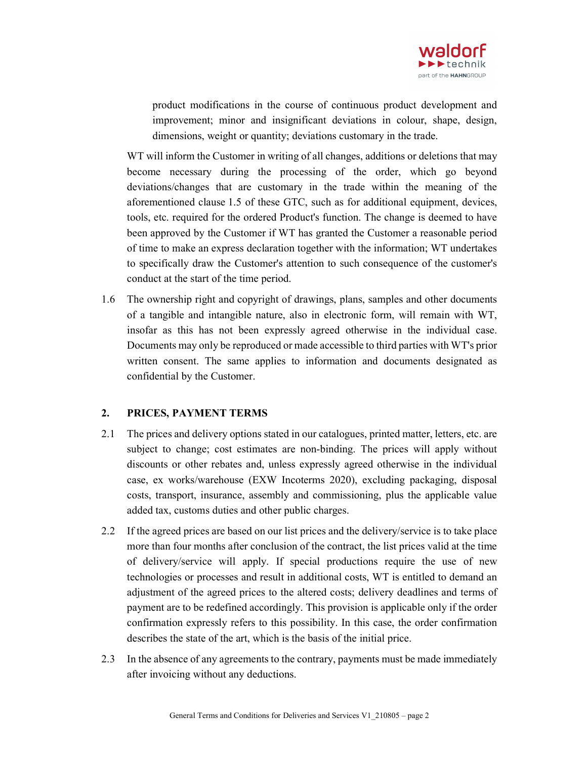

product modifications in the course of continuous product development and improvement; minor and insignificant deviations in colour, shape, design, dimensions, weight or quantity; deviations customary in the trade.

WT will inform the Customer in writing of all changes, additions or deletions that may become necessary during the processing of the order, which go beyond deviations/changes that are customary in the trade within the meaning of the aforementioned clause 1.5 of these GTC, such as for additional equipment, devices, tools, etc. required for the ordered Product's function. The change is deemed to have been approved by the Customer if WT has granted the Customer a reasonable period of time to make an express declaration together with the information; WT undertakes to specifically draw the Customer's attention to such consequence of the customer's conduct at the start of the time period.

1.6 The ownership right and copyright of drawings, plans, samples and other documents of a tangible and intangible nature, also in electronic form, will remain with WT, insofar as this has not been expressly agreed otherwise in the individual case. Documents may only be reproduced or made accessible to third parties with WT's prior written consent. The same applies to information and documents designated as confidential by the Customer.

#### 2. PRICES, PAYMENT TERMS

- 2.1 The prices and delivery options stated in our catalogues, printed matter, letters, etc. are subject to change; cost estimates are non-binding. The prices will apply without discounts or other rebates and, unless expressly agreed otherwise in the individual case, ex works/warehouse (EXW Incoterms 2020), excluding packaging, disposal costs, transport, insurance, assembly and commissioning, plus the applicable value added tax, customs duties and other public charges.
- 2.2 If the agreed prices are based on our list prices and the delivery/service is to take place more than four months after conclusion of the contract, the list prices valid at the time of delivery/service will apply. If special productions require the use of new technologies or processes and result in additional costs, WT is entitled to demand an adjustment of the agreed prices to the altered costs; delivery deadlines and terms of payment are to be redefined accordingly. This provision is applicable only if the order confirmation expressly refers to this possibility. In this case, the order confirmation describes the state of the art, which is the basis of the initial price.
- 2.3 In the absence of any agreements to the contrary, payments must be made immediately after invoicing without any deductions.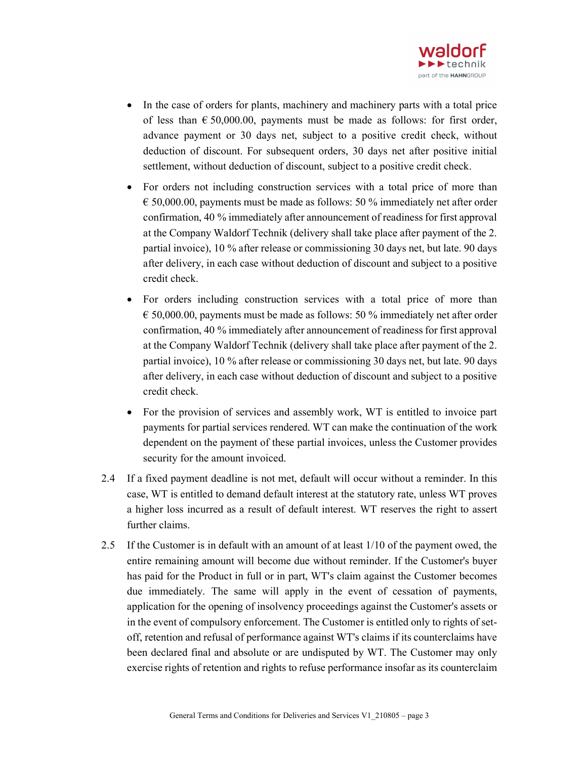

- In the case of orders for plants, machinery and machinery parts with a total price of less than  $\epsilon$  50,000.00, payments must be made as follows: for first order, advance payment or 30 days net, subject to a positive credit check, without deduction of discount. For subsequent orders, 30 days net after positive initial settlement, without deduction of discount, subject to a positive credit check.
- For orders not including construction services with a total price of more than  $\epsilon$  50,000.00, payments must be made as follows: 50 % immediately net after order confirmation, 40 % immediately after announcement of readiness for first approval at the Company Waldorf Technik (delivery shall take place after payment of the 2. partial invoice), 10 % after release or commissioning 30 days net, but late. 90 days after delivery, in each case without deduction of discount and subject to a positive credit check.
- For orders including construction services with a total price of more than  $\epsilon$  50,000.00, payments must be made as follows: 50 % immediately net after order confirmation, 40 % immediately after announcement of readiness for first approval at the Company Waldorf Technik (delivery shall take place after payment of the 2. partial invoice), 10 % after release or commissioning 30 days net, but late. 90 days after delivery, in each case without deduction of discount and subject to a positive credit check.
- For the provision of services and assembly work, WT is entitled to invoice part payments for partial services rendered. WT can make the continuation of the work dependent on the payment of these partial invoices, unless the Customer provides security for the amount invoiced.
- 2.4 If a fixed payment deadline is not met, default will occur without a reminder. In this case, WT is entitled to demand default interest at the statutory rate, unless WT proves a higher loss incurred as a result of default interest. WT reserves the right to assert further claims.
- 2.5 If the Customer is in default with an amount of at least 1/10 of the payment owed, the entire remaining amount will become due without reminder. If the Customer's buyer has paid for the Product in full or in part, WT's claim against the Customer becomes due immediately. The same will apply in the event of cessation of payments, application for the opening of insolvency proceedings against the Customer's assets or in the event of compulsory enforcement. The Customer is entitled only to rights of setoff, retention and refusal of performance against WT's claims if its counterclaims have been declared final and absolute or are undisputed by WT. The Customer may only exercise rights of retention and rights to refuse performance insofar as its counterclaim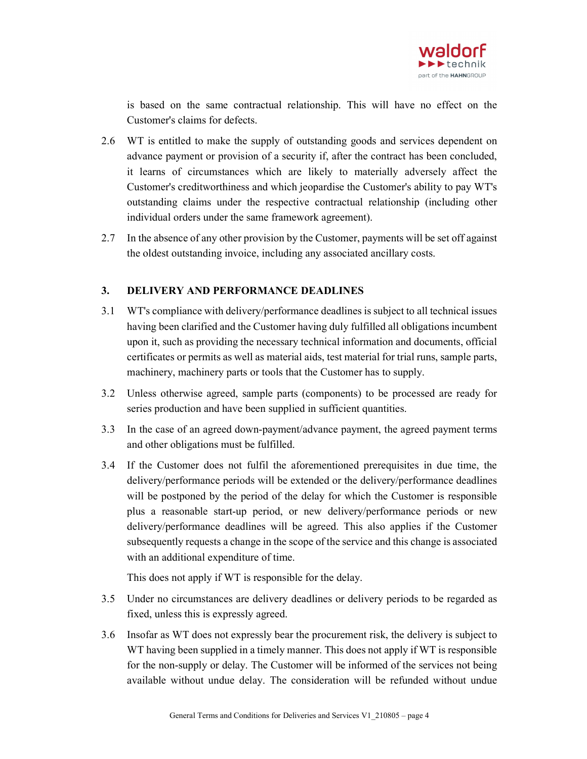

is based on the same contractual relationship. This will have no effect on the Customer's claims for defects.

- 2.6 WT is entitled to make the supply of outstanding goods and services dependent on advance payment or provision of a security if, after the contract has been concluded, it learns of circumstances which are likely to materially adversely affect the Customer's creditworthiness and which jeopardise the Customer's ability to pay WT's outstanding claims under the respective contractual relationship (including other individual orders under the same framework agreement).
- 2.7 In the absence of any other provision by the Customer, payments will be set off against the oldest outstanding invoice, including any associated ancillary costs.

#### 3. DELIVERY AND PERFORMANCE DEADLINES

- 3.1 WT's compliance with delivery/performance deadlines is subject to all technical issues having been clarified and the Customer having duly fulfilled all obligations incumbent upon it, such as providing the necessary technical information and documents, official certificates or permits as well as material aids, test material for trial runs, sample parts, machinery, machinery parts or tools that the Customer has to supply.
- 3.2 Unless otherwise agreed, sample parts (components) to be processed are ready for series production and have been supplied in sufficient quantities.
- 3.3 In the case of an agreed down-payment/advance payment, the agreed payment terms and other obligations must be fulfilled.
- 3.4 If the Customer does not fulfil the aforementioned prerequisites in due time, the delivery/performance periods will be extended or the delivery/performance deadlines will be postponed by the period of the delay for which the Customer is responsible plus a reasonable start-up period, or new delivery/performance periods or new delivery/performance deadlines will be agreed. This also applies if the Customer subsequently requests a change in the scope of the service and this change is associated with an additional expenditure of time.

This does not apply if WT is responsible for the delay.

- 3.5 Under no circumstances are delivery deadlines or delivery periods to be regarded as fixed, unless this is expressly agreed.
- 3.6 Insofar as WT does not expressly bear the procurement risk, the delivery is subject to WT having been supplied in a timely manner. This does not apply if WT is responsible for the non-supply or delay. The Customer will be informed of the services not being available without undue delay. The consideration will be refunded without undue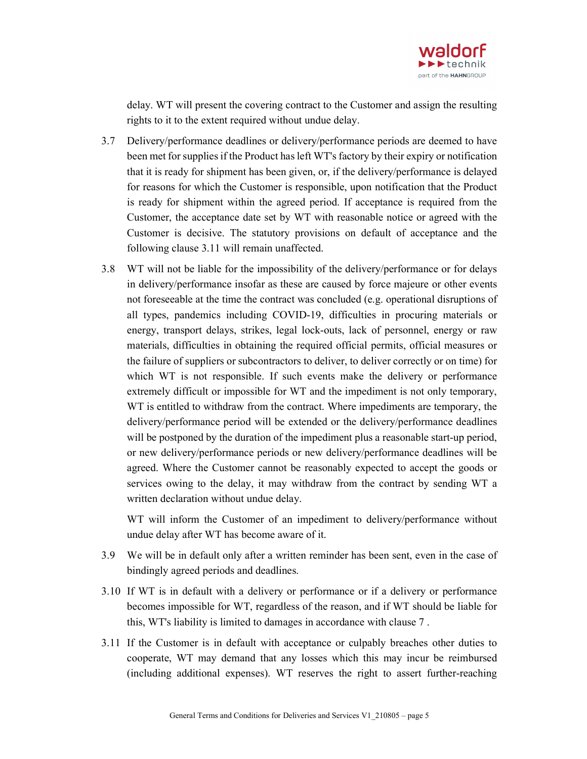

delay. WT will present the covering contract to the Customer and assign the resulting rights to it to the extent required without undue delay.

- 3.7 Delivery/performance deadlines or delivery/performance periods are deemed to have been met for supplies if the Product has left WT's factory by their expiry or notification that it is ready for shipment has been given, or, if the delivery/performance is delayed for reasons for which the Customer is responsible, upon notification that the Product is ready for shipment within the agreed period. If acceptance is required from the Customer, the acceptance date set by WT with reasonable notice or agreed with the Customer is decisive. The statutory provisions on default of acceptance and the following clause 3.11 will remain unaffected.
- 3.8 WT will not be liable for the impossibility of the delivery/performance or for delays in delivery/performance insofar as these are caused by force majeure or other events not foreseeable at the time the contract was concluded (e.g. operational disruptions of all types, pandemics including COVID-19, difficulties in procuring materials or energy, transport delays, strikes, legal lock-outs, lack of personnel, energy or raw materials, difficulties in obtaining the required official permits, official measures or the failure of suppliers or subcontractors to deliver, to deliver correctly or on time) for which WT is not responsible. If such events make the delivery or performance extremely difficult or impossible for WT and the impediment is not only temporary, WT is entitled to withdraw from the contract. Where impediments are temporary, the delivery/performance period will be extended or the delivery/performance deadlines will be postponed by the duration of the impediment plus a reasonable start-up period, or new delivery/performance periods or new delivery/performance deadlines will be agreed. Where the Customer cannot be reasonably expected to accept the goods or services owing to the delay, it may withdraw from the contract by sending WT a written declaration without undue delay.

WT will inform the Customer of an impediment to delivery/performance without undue delay after WT has become aware of it.

- 3.9 We will be in default only after a written reminder has been sent, even in the case of bindingly agreed periods and deadlines.
- 3.10 If WT is in default with a delivery or performance or if a delivery or performance becomes impossible for WT, regardless of the reason, and if WT should be liable for this, WT's liability is limited to damages in accordance with clause 7 .
- 3.11 If the Customer is in default with acceptance or culpably breaches other duties to cooperate, WT may demand that any losses which this may incur be reimbursed (including additional expenses). WT reserves the right to assert further-reaching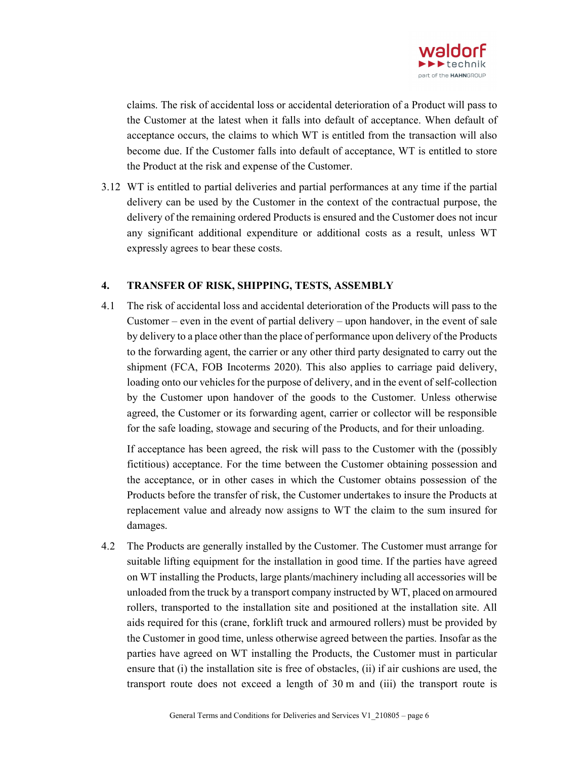

claims. The risk of accidental loss or accidental deterioration of a Product will pass to the Customer at the latest when it falls into default of acceptance. When default of acceptance occurs, the claims to which WT is entitled from the transaction will also become due. If the Customer falls into default of acceptance, WT is entitled to store the Product at the risk and expense of the Customer.

3.12 WT is entitled to partial deliveries and partial performances at any time if the partial delivery can be used by the Customer in the context of the contractual purpose, the delivery of the remaining ordered Products is ensured and the Customer does not incur any significant additional expenditure or additional costs as a result, unless WT expressly agrees to bear these costs.

#### 4. TRANSFER OF RISK, SHIPPING, TESTS, ASSEMBLY

4.1 The risk of accidental loss and accidental deterioration of the Products will pass to the Customer – even in the event of partial delivery – upon handover, in the event of sale by delivery to a place other than the place of performance upon delivery of the Products to the forwarding agent, the carrier or any other third party designated to carry out the shipment (FCA, FOB Incoterms 2020). This also applies to carriage paid delivery, loading onto our vehicles for the purpose of delivery, and in the event of self-collection by the Customer upon handover of the goods to the Customer. Unless otherwise agreed, the Customer or its forwarding agent, carrier or collector will be responsible for the safe loading, stowage and securing of the Products, and for their unloading.

If acceptance has been agreed, the risk will pass to the Customer with the (possibly fictitious) acceptance. For the time between the Customer obtaining possession and the acceptance, or in other cases in which the Customer obtains possession of the Products before the transfer of risk, the Customer undertakes to insure the Products at replacement value and already now assigns to WT the claim to the sum insured for damages.

4.2 The Products are generally installed by the Customer. The Customer must arrange for suitable lifting equipment for the installation in good time. If the parties have agreed on WT installing the Products, large plants/machinery including all accessories will be unloaded from the truck by a transport company instructed by WT, placed on armoured rollers, transported to the installation site and positioned at the installation site. All aids required for this (crane, forklift truck and armoured rollers) must be provided by the Customer in good time, unless otherwise agreed between the parties. Insofar as the parties have agreed on WT installing the Products, the Customer must in particular ensure that (i) the installation site is free of obstacles, (ii) if air cushions are used, the transport route does not exceed a length of 30 m and (iii) the transport route is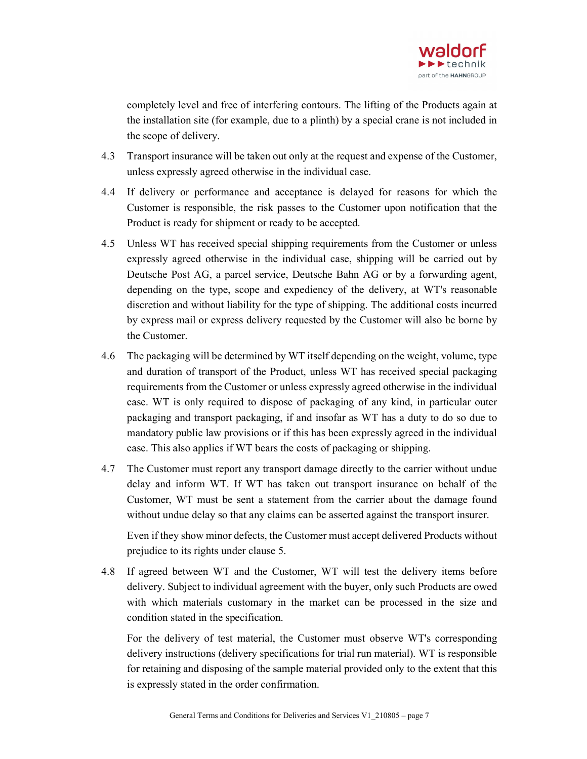

completely level and free of interfering contours. The lifting of the Products again at the installation site (for example, due to a plinth) by a special crane is not included in the scope of delivery.

- 4.3 Transport insurance will be taken out only at the request and expense of the Customer, unless expressly agreed otherwise in the individual case.
- 4.4 If delivery or performance and acceptance is delayed for reasons for which the Customer is responsible, the risk passes to the Customer upon notification that the Product is ready for shipment or ready to be accepted.
- 4.5 Unless WT has received special shipping requirements from the Customer or unless expressly agreed otherwise in the individual case, shipping will be carried out by Deutsche Post AG, a parcel service, Deutsche Bahn AG or by a forwarding agent, depending on the type, scope and expediency of the delivery, at WT's reasonable discretion and without liability for the type of shipping. The additional costs incurred by express mail or express delivery requested by the Customer will also be borne by the Customer.
- 4.6 The packaging will be determined by WT itself depending on the weight, volume, type and duration of transport of the Product, unless WT has received special packaging requirements from the Customer or unless expressly agreed otherwise in the individual case. WT is only required to dispose of packaging of any kind, in particular outer packaging and transport packaging, if and insofar as WT has a duty to do so due to mandatory public law provisions or if this has been expressly agreed in the individual case. This also applies if WT bears the costs of packaging or shipping.
- 4.7 The Customer must report any transport damage directly to the carrier without undue delay and inform WT. If WT has taken out transport insurance on behalf of the Customer, WT must be sent a statement from the carrier about the damage found without undue delay so that any claims can be asserted against the transport insurer.

Even if they show minor defects, the Customer must accept delivered Products without prejudice to its rights under clause 5.

4.8 If agreed between WT and the Customer, WT will test the delivery items before delivery. Subject to individual agreement with the buyer, only such Products are owed with which materials customary in the market can be processed in the size and condition stated in the specification.

For the delivery of test material, the Customer must observe WT's corresponding delivery instructions (delivery specifications for trial run material). WT is responsible for retaining and disposing of the sample material provided only to the extent that this is expressly stated in the order confirmation.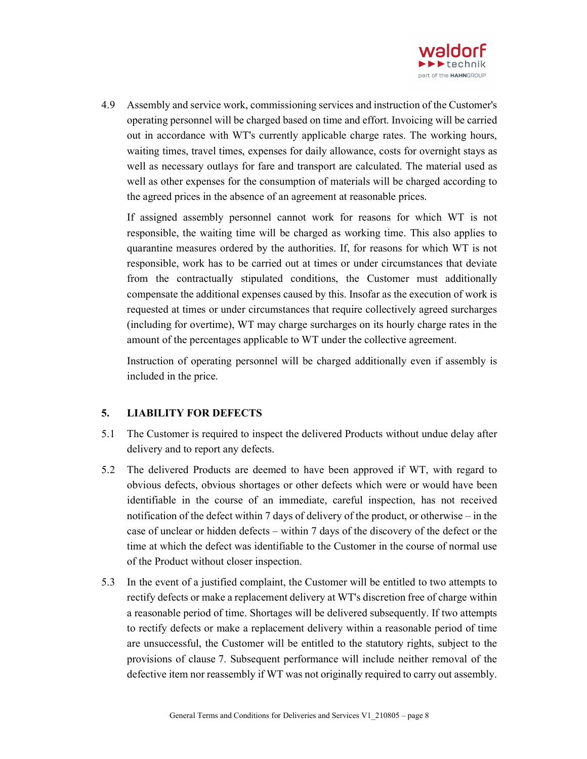

4.9 Assembly and service work, commissioning services and instruction of the Customer's operating personnel will be charged based on time and effort. Invoicing will be carried out in accordance with WT's currently applicable charge rates. The working hours, waiting times, travel times, expenses for daily allowance, costs for overnight stays as well as necessary outlays for fare and transport are calculated. The material used as well as other expenses for the consumption of materials will be charged according to the agreed prices in the absence of an agreement at reasonable prices.

If assigned assembly personnel cannot work for reasons for which WT is not responsible, the waiting time will be charged as working time. This also applies to quarantine measures ordered by the authorities. If, for reasons for which WT is not responsible, work has to be carried out at times or under circumstances that deviate from the contractually stipulated conditions, the Customer must additionally compensate the additional expenses caused by this. Insofar as the execution of work is requested at times or under circumstances that require collectively agreed surcharges (including for overtime), WT may charge surcharges on its hourly charge rates in the amount of the percentages applicable to WT under the collective agreement.

Instruction of operating personnel will be charged additionally even if assembly is included in the price.

#### 5. LIABILITY FOR DEFECTS

- 5.1 The Customer is required to inspect the delivered Products without undue delay after delivery and to report any defects.
- 5.2 The delivered Products are deemed to have been approved if WT, with regard to obvious defects, obvious shortages or other defects which were or would have been identifiable in the course of an immediate, careful inspection, has not received notification of the defect within 7 days of delivery of the product, or otherwise – in the case of unclear or hidden defects – within 7 days of the discovery of the defect or the time at which the defect was identifiable to the Customer in the course of normal use of the Product without closer inspection.
- 5.3 In the event of a justified complaint, the Customer will be entitled to two attempts to rectify defects or make a replacement delivery at WT's discretion free of charge within a reasonable period of time. Shortages will be delivered subsequently. If two attempts to rectify defects or make a replacement delivery within a reasonable period of time are unsuccessful, the Customer will be entitled to the statutory rights, subject to the provisions of clause 7. Subsequent performance will include neither removal of the defective item nor reassembly if WT was not originally required to carry out assembly.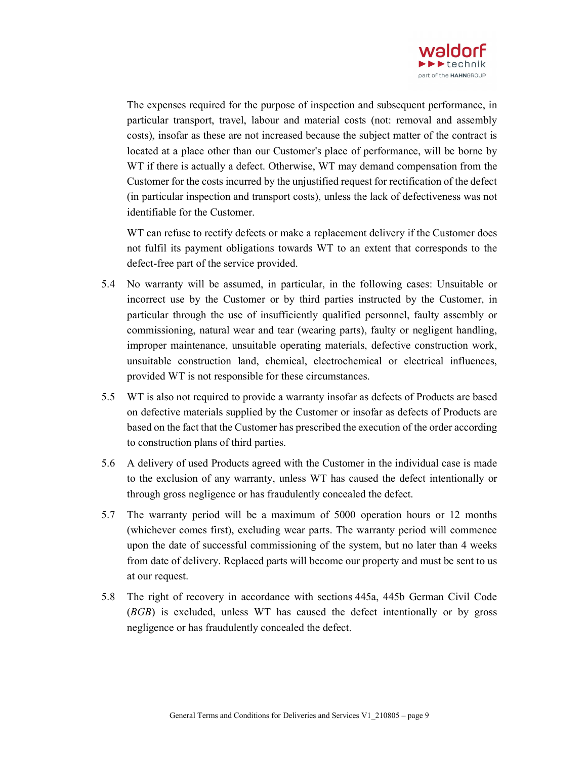

The expenses required for the purpose of inspection and subsequent performance, in particular transport, travel, labour and material costs (not: removal and assembly costs), insofar as these are not increased because the subject matter of the contract is located at a place other than our Customer's place of performance, will be borne by WT if there is actually a defect. Otherwise, WT may demand compensation from the Customer for the costs incurred by the unjustified request for rectification of the defect (in particular inspection and transport costs), unless the lack of defectiveness was not identifiable for the Customer.

WT can refuse to rectify defects or make a replacement delivery if the Customer does not fulfil its payment obligations towards WT to an extent that corresponds to the defect-free part of the service provided.

- 5.4 No warranty will be assumed, in particular, in the following cases: Unsuitable or incorrect use by the Customer or by third parties instructed by the Customer, in particular through the use of insufficiently qualified personnel, faulty assembly or commissioning, natural wear and tear (wearing parts), faulty or negligent handling, improper maintenance, unsuitable operating materials, defective construction work, unsuitable construction land, chemical, electrochemical or electrical influences, provided WT is not responsible for these circumstances.
- 5.5 WT is also not required to provide a warranty insofar as defects of Products are based on defective materials supplied by the Customer or insofar as defects of Products are based on the fact that the Customer has prescribed the execution of the order according to construction plans of third parties.
- 5.6 A delivery of used Products agreed with the Customer in the individual case is made to the exclusion of any warranty, unless WT has caused the defect intentionally or through gross negligence or has fraudulently concealed the defect.
- 5.7 The warranty period will be a maximum of 5000 operation hours or 12 months (whichever comes first), excluding wear parts. The warranty period will commence upon the date of successful commissioning of the system, but no later than 4 weeks from date of delivery. Replaced parts will become our property and must be sent to us at our request.
- 5.8 The right of recovery in accordance with sections 445a, 445b German Civil Code (BGB) is excluded, unless WT has caused the defect intentionally or by gross negligence or has fraudulently concealed the defect.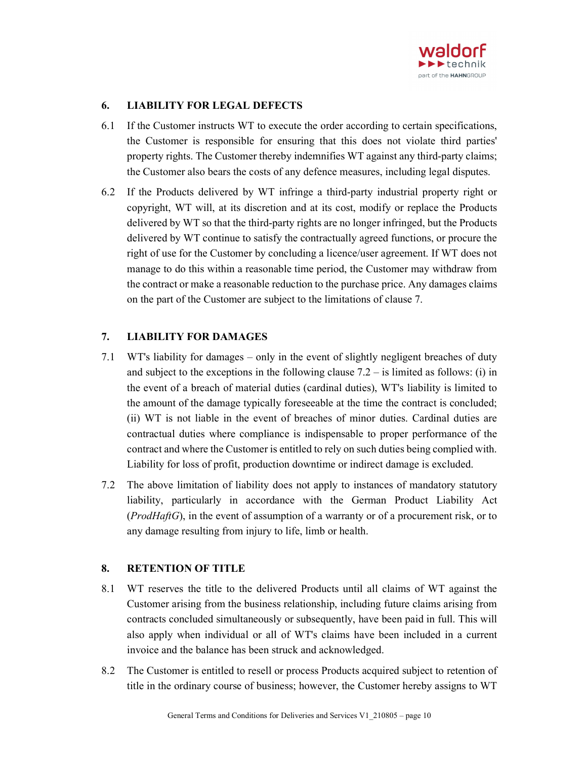

### 6. LIABILITY FOR LEGAL DEFECTS

- 6.1 If the Customer instructs WT to execute the order according to certain specifications, the Customer is responsible for ensuring that this does not violate third parties' property rights. The Customer thereby indemnifies WT against any third-party claims; the Customer also bears the costs of any defence measures, including legal disputes.
- 6.2 If the Products delivered by WT infringe a third-party industrial property right or copyright, WT will, at its discretion and at its cost, modify or replace the Products delivered by WT so that the third-party rights are no longer infringed, but the Products delivered by WT continue to satisfy the contractually agreed functions, or procure the right of use for the Customer by concluding a licence/user agreement. If WT does not manage to do this within a reasonable time period, the Customer may withdraw from the contract or make a reasonable reduction to the purchase price. Any damages claims on the part of the Customer are subject to the limitations of clause 7.

#### 7. LIABILITY FOR DAMAGES

- 7.1 WT's liability for damages only in the event of slightly negligent breaches of duty and subject to the exceptions in the following clause  $7.2 -$  is limited as follows: (i) in the event of a breach of material duties (cardinal duties), WT's liability is limited to the amount of the damage typically foreseeable at the time the contract is concluded; (ii) WT is not liable in the event of breaches of minor duties. Cardinal duties are contractual duties where compliance is indispensable to proper performance of the contract and where the Customer is entitled to rely on such duties being complied with. Liability for loss of profit, production downtime or indirect damage is excluded.
- 7.2 The above limitation of liability does not apply to instances of mandatory statutory liability, particularly in accordance with the German Product Liability Act  $(ProdHaffG)$ , in the event of assumption of a warranty or of a procurement risk, or to any damage resulting from injury to life, limb or health.

## 8. RETENTION OF TITLE

- 8.1 WT reserves the title to the delivered Products until all claims of WT against the Customer arising from the business relationship, including future claims arising from contracts concluded simultaneously or subsequently, have been paid in full. This will also apply when individual or all of WT's claims have been included in a current invoice and the balance has been struck and acknowledged.
- 8.2 The Customer is entitled to resell or process Products acquired subject to retention of title in the ordinary course of business; however, the Customer hereby assigns to WT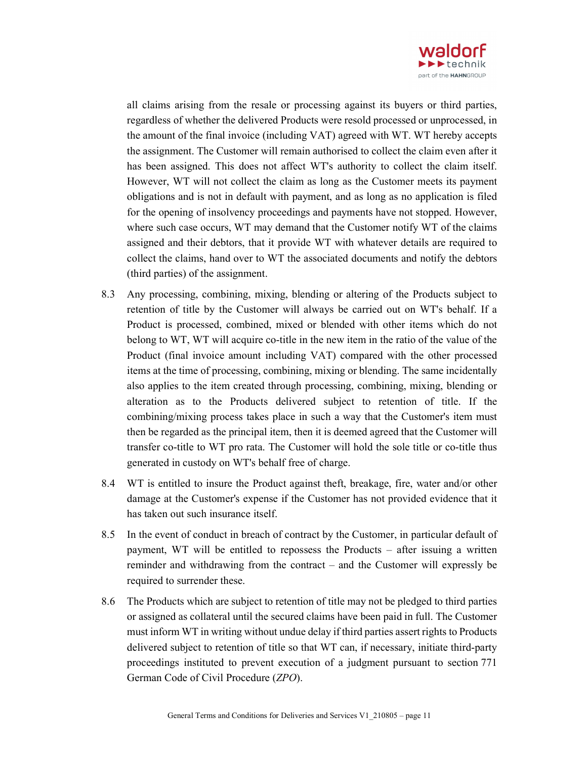

all claims arising from the resale or processing against its buyers or third parties, regardless of whether the delivered Products were resold processed or unprocessed, in the amount of the final invoice (including VAT) agreed with WT. WT hereby accepts the assignment. The Customer will remain authorised to collect the claim even after it has been assigned. This does not affect WT's authority to collect the claim itself. However, WT will not collect the claim as long as the Customer meets its payment obligations and is not in default with payment, and as long as no application is filed for the opening of insolvency proceedings and payments have not stopped. However, where such case occurs, WT may demand that the Customer notify WT of the claims assigned and their debtors, that it provide WT with whatever details are required to collect the claims, hand over to WT the associated documents and notify the debtors (third parties) of the assignment.

- 8.3 Any processing, combining, mixing, blending or altering of the Products subject to retention of title by the Customer will always be carried out on WT's behalf. If a Product is processed, combined, mixed or blended with other items which do not belong to WT, WT will acquire co-title in the new item in the ratio of the value of the Product (final invoice amount including VAT) compared with the other processed items at the time of processing, combining, mixing or blending. The same incidentally also applies to the item created through processing, combining, mixing, blending or alteration as to the Products delivered subject to retention of title. If the combining/mixing process takes place in such a way that the Customer's item must then be regarded as the principal item, then it is deemed agreed that the Customer will transfer co-title to WT pro rata. The Customer will hold the sole title or co-title thus generated in custody on WT's behalf free of charge.
- 8.4 WT is entitled to insure the Product against theft, breakage, fire, water and/or other damage at the Customer's expense if the Customer has not provided evidence that it has taken out such insurance itself.
- 8.5 In the event of conduct in breach of contract by the Customer, in particular default of payment, WT will be entitled to repossess the Products – after issuing a written reminder and withdrawing from the contract – and the Customer will expressly be required to surrender these.
- 8.6 The Products which are subject to retention of title may not be pledged to third parties or assigned as collateral until the secured claims have been paid in full. The Customer must inform WT in writing without undue delay if third parties assert rights to Products delivered subject to retention of title so that WT can, if necessary, initiate third-party proceedings instituted to prevent execution of a judgment pursuant to section 771 German Code of Civil Procedure (ZPO).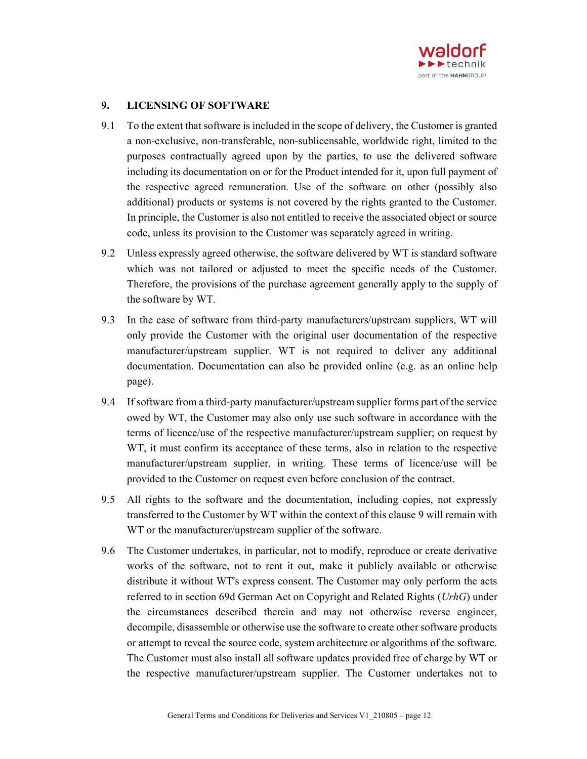

### 9. LICENSING OF SOFTWARE

- 9.1 To the extent that software is included in the scope of delivery, the Customer is granted a non-exclusive, non-transferable, non-sublicensable, worldwide right, limited to the purposes contractually agreed upon by the parties, to use the delivered software including its documentation on or for the Product intended for it, upon full payment of the respective agreed remuneration. Use of the software on other (possibly also additional) products or systems is not covered by the rights granted to the Customer. In principle, the Customer is also not entitled to receive the associated object or source code, unless its provision to the Customer was separately agreed in writing.
- 9.2 Unless expressly agreed otherwise, the software delivered by WT is standard software which was not tailored or adjusted to meet the specific needs of the Customer. Therefore, the provisions of the purchase agreement generally apply to the supply of the software by WT.
- 9.3 In the case of software from third-party manufacturers/upstream suppliers, WT will only provide the Customer with the original user documentation of the respective manufacturer/upstream supplier. WT is not required to deliver any additional documentation. Documentation can also be provided online (e.g. as an online help page).
- 9.4 If software from a third-party manufacturer/upstream supplier forms part of the service owed by WT, the Customer may also only use such software in accordance with the terms of licence/use of the respective manufacturer/upstream supplier; on request by WT, it must confirm its acceptance of these terms, also in relation to the respective manufacturer/upstream supplier, in writing. These terms of licence/use will be provided to the Customer on request even before conclusion of the contract.
- 9.5 All rights to the software and the documentation, including copies, not expressly transferred to the Customer by WT within the context of this clause 9 will remain with WT or the manufacturer/upstream supplier of the software.
- 9.6 The Customer undertakes, in particular, not to modify, reproduce or create derivative works of the software, not to rent it out, make it publicly available or otherwise distribute it without WT's express consent. The Customer may only perform the acts referred to in section 69d German Act on Copyright and Related Rights (UrhG) under the circumstances described therein and may not otherwise reverse engineer, decompile, disassemble or otherwise use the software to create other software products or attempt to reveal the source code, system architecture or algorithms of the software. The Customer must also install all software updates provided free of charge by WT or the respective manufacturer/upstream supplier. The Customer undertakes not to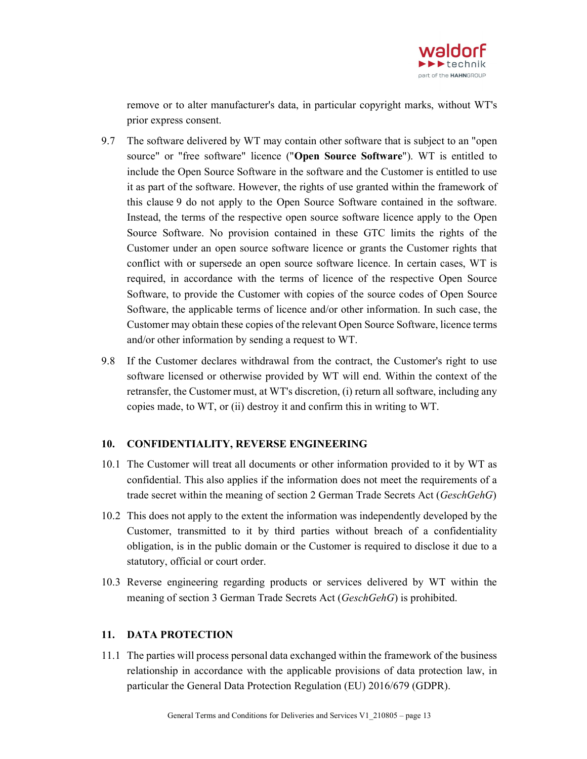

remove or to alter manufacturer's data, in particular copyright marks, without WT's prior express consent.

- 9.7 The software delivered by WT may contain other software that is subject to an "open source" or "free software" licence ("Open Source Software"). WT is entitled to include the Open Source Software in the software and the Customer is entitled to use it as part of the software. However, the rights of use granted within the framework of this clause 9 do not apply to the Open Source Software contained in the software. Instead, the terms of the respective open source software licence apply to the Open Source Software. No provision contained in these GTC limits the rights of the Customer under an open source software licence or grants the Customer rights that conflict with or supersede an open source software licence. In certain cases, WT is required, in accordance with the terms of licence of the respective Open Source Software, to provide the Customer with copies of the source codes of Open Source Software, the applicable terms of licence and/or other information. In such case, the Customer may obtain these copies of the relevant Open Source Software, licence terms and/or other information by sending a request to WT.
- 9.8 If the Customer declares withdrawal from the contract, the Customer's right to use software licensed or otherwise provided by WT will end. Within the context of the retransfer, the Customer must, at WT's discretion, (i) return all software, including any copies made, to WT, or (ii) destroy it and confirm this in writing to WT.

#### 10. CONFIDENTIALITY, REVERSE ENGINEERING

- 10.1 The Customer will treat all documents or other information provided to it by WT as confidential. This also applies if the information does not meet the requirements of a trade secret within the meaning of section 2 German Trade Secrets Act (*GeschGehG*)
- 10.2 This does not apply to the extent the information was independently developed by the Customer, transmitted to it by third parties without breach of a confidentiality obligation, is in the public domain or the Customer is required to disclose it due to a statutory, official or court order.
- 10.3 Reverse engineering regarding products or services delivered by WT within the meaning of section 3 German Trade Secrets Act (GeschGehG) is prohibited.

#### 11. DATA PROTECTION

11.1 The parties will process personal data exchanged within the framework of the business relationship in accordance with the applicable provisions of data protection law, in particular the General Data Protection Regulation (EU) 2016/679 (GDPR).